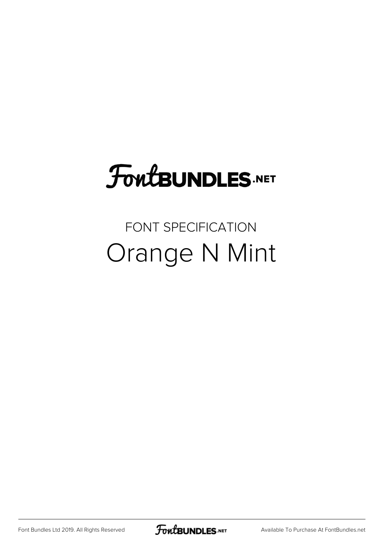# FoutBUNDLES.NET

### FONT SPECIFICATION Orange N Mint

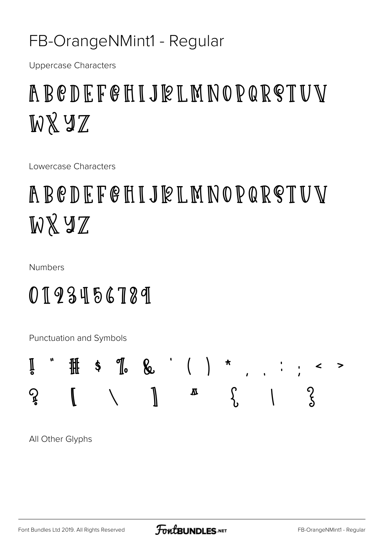#### FB-OrangeNMint1 - Regular

**Uppercase Characters** 

### ABCDEFGHIJRLMNOPQRSTUV WXYZ

Lowercase Characters

### ABCDEFGHIJRLMNOPQRSTUV WXYZ

**Numbers** 

### 0123456789

Punctuation and Symbols



All Other Glyphs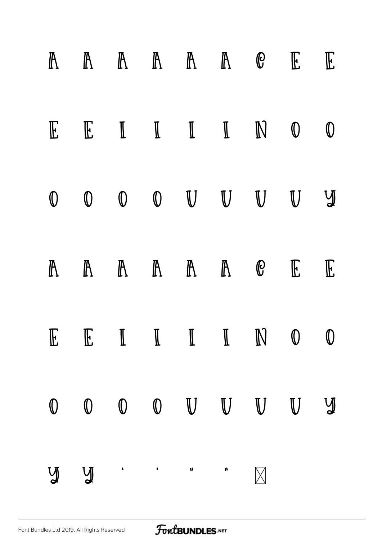| $\mathbb{R}$ |             |               | $\begin{array}{ccccccccccccccccc} \mathbb{A} & \mathbb{A} & \mathbb{A} & \mathbb{A} & \mathbb{A} & \mathbb{B} & \mathbb{B} & \mathbb{E} & \mathbb{A} & \mathbb{A} & \mathbb{A} & \mathbb{A} & \mathbb{B} & \mathbb{E} & \mathbb{E} & \mathbb{E} & \mathbb{E} & \mathbb{E} & \mathbb{E} & \mathbb{E} & \mathbb{E} & \mathbb{E} & \mathbb{E} & \mathbb{E} & \mathbb{E} & \mathbb{E} & \mathbb{E} & \mathbb{E} & \mathbb{E} & \mathbb{E}$ |                  |             |             | $\mathbb{E}$ |
|--------------|-------------|---------------|----------------------------------------------------------------------------------------------------------------------------------------------------------------------------------------------------------------------------------------------------------------------------------------------------------------------------------------------------------------------------------------------------------------------------------------|------------------|-------------|-------------|--------------|
| $\mathbb{E}$ |             |               | $E \quad I \quad I \quad I \quad N$                                                                                                                                                                                                                                                                                                                                                                                                    |                  |             | $\mathbb O$ | $\mathbb O$  |
| $\mathbb O$  |             |               | $\begin{matrix} 0 & 0 & 0 & \mathbb{U} & \mathbb{U} & \mathbb{U} & \mathbb{U} & \mathbb{U} & \mathbb{U} & \mathbb{U} & \mathbb{U} & \mathbb{U} & \mathbb{U} & \mathbb{U} & \mathbb{U} & \mathbb{U} & \mathbb{U} & \mathbb{U} & \mathbb{U} & \mathbb{U} & \mathbb{U} & \mathbb{U} & \mathbb{U} & \mathbb{U} & \mathbb{U} & \mathbb{U} & \mathbb{U} & \mathbb{U} & \mathbb{U} & \mathbb{U} & \mathbb{U} & \mathbb{U} & \mathbb$          |                  |             |             | $\mathbb{V}$ |
| $\mathbb{R}$ |             |               | $\mathbb{A} \quad \mathbb{A} \quad \mathbb{A} \quad \mathbb{A} \quad \mathbb{B}$                                                                                                                                                                                                                                                                                                                                                       |                  |             | $\mathbb E$ | $\mathbb{E}$ |
| $\mathbb{E}$ |             |               | $E \quad I \quad I \quad I \quad I \quad N \quad 0 \quad 0$                                                                                                                                                                                                                                                                                                                                                                            |                  |             |             |              |
| $\mathbb O$  | $\mathbb O$ | $\mathbb O$   | $\mathbb{U}$ $\mathbb{U}$ $\mathbb{U}$ $\mathbb{U}$                                                                                                                                                                                                                                                                                                                                                                                    |                  |             |             | $\bigvee$    |
| $\mathbb{V}$ | $\bigvee$   | $\mathcal{A}$ | $\label{eq:1.1} \mathbf{u} = \mathbf{u} + \mathbf{u} + \mathbf{u} + \mathbf{u} + \mathbf{u} + \mathbf{u} + \mathbf{u} + \mathbf{u} + \mathbf{u} + \mathbf{u} + \mathbf{u} + \mathbf{u} + \mathbf{u} + \mathbf{u} + \mathbf{u} + \mathbf{u} + \mathbf{u} + \mathbf{u} + \mathbf{u} + \mathbf{u} + \mathbf{u} + \mathbf{u} + \mathbf{u} + \mathbf{u} + \mathbf{u} + \mathbf{u} + \mathbf{u} + \mathbf{u} + \mathbf{u} + \$               | $\boldsymbol{u}$ | $\boxtimes$ |             |              |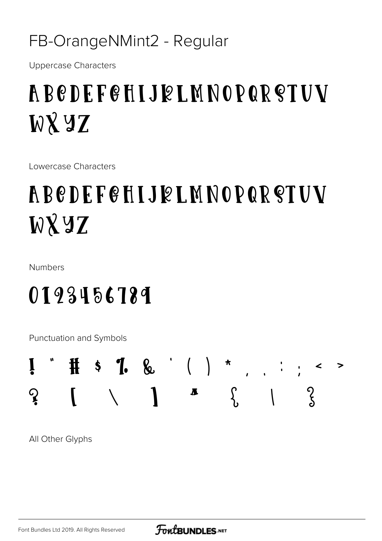#### FB-OrangeNMint2 - Regular

**Uppercase Characters** 

## **ABCDEFGHIJELMNOPQRSTUV WXYZ**

Lowercase Characters

## **ABCDEFGHIJELMNOPQRSTUV WXYZ**

**Numbers** 

### 0193456789

Punctuation and Symbols



All Other Glyphs